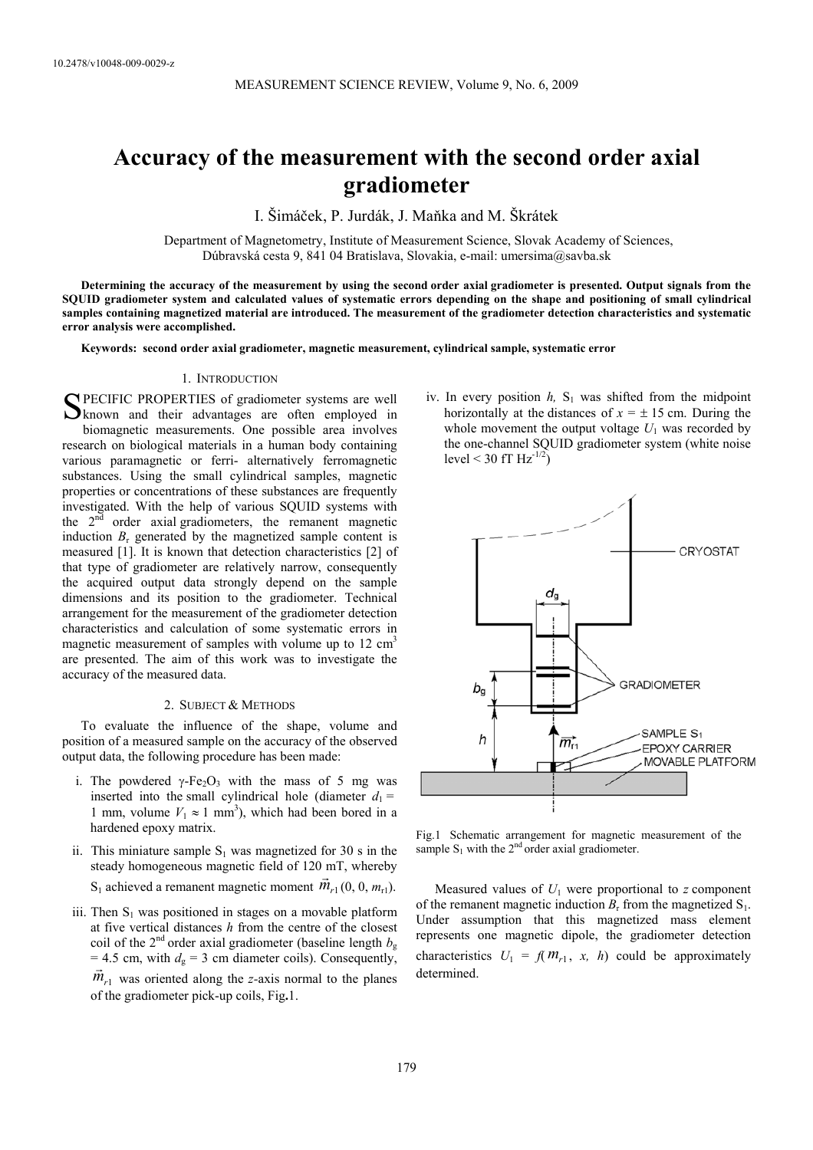# **Accuracy of the measurement with the second order axial gradiometer**

I. Šimáček, P. Jurdák, J. Maňka and M. Škrátek

Department of Magnetometry, Institute of Measurement Science, Slovak Academy of Sciences, Dúbravská cesta 9, 841 04 Bratislava, Slovakia, e-mail: umersima@savba.sk

**Determining the accuracy of the measurement by using the second order axial gradiometer is presented. Output signals from the SQUID gradiometer system and calculated values of systematic errors depending on the shape and positioning of small cylindrical samples containing magnetized material are introduced. The measurement of the gradiometer detection characteristics and systematic error analysis were accomplished.** 

**Keywords: second order axial gradiometer, magnetic measurement, cylindrical sample, systematic error**

## 1. INTRODUCTION

PECIFIC PROPERTIES of gradiometer systems are well SPECIFIC PROPERTIES of gradiometer systems are well<br>
known and their advantages are often employed in biomagnetic measurements. One possible area involves research on biological materials in a human body containing various paramagnetic or ferri- alternatively ferromagnetic substances. Using the small cylindrical samples, magnetic properties or concentrations of these substances are frequently investigated. With the help of various SQUID systems with the 2<sup>nd</sup> order axial gradiometers, the remanent magnetic induction  $B_r$  generated by the magnetized sample content is measured [1]. It is known that detection characteristics [2] of that type of gradiometer are relatively narrow, consequently the acquired output data strongly depend on the sample dimensions and its position to the gradiometer. Technical arrangement for the measurement of the gradiometer detection characteristics and calculation of some systematic errors in magnetic measurement of samples with volume up to  $12 \text{ cm}^3$ are presented. The aim of this work was to investigate the accuracy of the measured data.

#### 2. SUBJECT & METHODS

To evaluate the influence of the shape, volume and position of a measured sample on the accuracy of the observed output data, the following procedure has been made:

- i. The powdered  $\gamma$ -Fe<sub>2</sub>O<sub>3</sub> with the mass of 5 mg was inserted into the small cylindrical hole (diameter  $d_1 =$ 1 mm, volume  $V_1 \approx 1$  mm<sup>3</sup>), which had been bored in a hardened epoxy matrix.
- ii. This miniature sample  $S_1$  was magnetized for 30 s in the steady homogeneous magnetic field of 120 mT, whereby  $S_1$  achieved a remanent magnetic moment  $\vec{m}_{r1}(0, 0, m_{r1})$ .
- iii. Then  $S_1$  was positioned in stages on a movable platform at five vertical distances *h* from the centre of the closest coil of the  $2<sup>nd</sup>$  order axial gradiometer (baseline length  $b<sub>g</sub>$  $= 4.5$  cm, with  $d_g = 3$  cm diameter coils). Consequently,  $\vec{m}_{r1}$  was oriented along the *z*-axis normal to the planes of the gradiometer pick-up coils, Fig**.**1.

iv. In every position  $h$ ,  $S_1$  was shifted from the midpoint horizontally at the distances of  $x = \pm 15$  cm. During the whole movement the output voltage  $U_1$  was recorded by the one-channel SQUID gradiometer system (white noise level < 30 fT  $Hz^{-1/2}$ )



Fig.1 Schematic arrangement for magnetic measurement of the sample  $S_1$  with the 2<sup>nd</sup> order axial gradiometer.

Measured values of  $U_1$  were proportional to  $z$  component of the remanent magnetic induction  $B_r$  from the magnetized  $S_1$ . Under assumption that this magnetized mass element represents one magnetic dipole, the gradiometer detection characteristics  $U_1 = f(M_{r1}, x, h)$  could be approximately determined.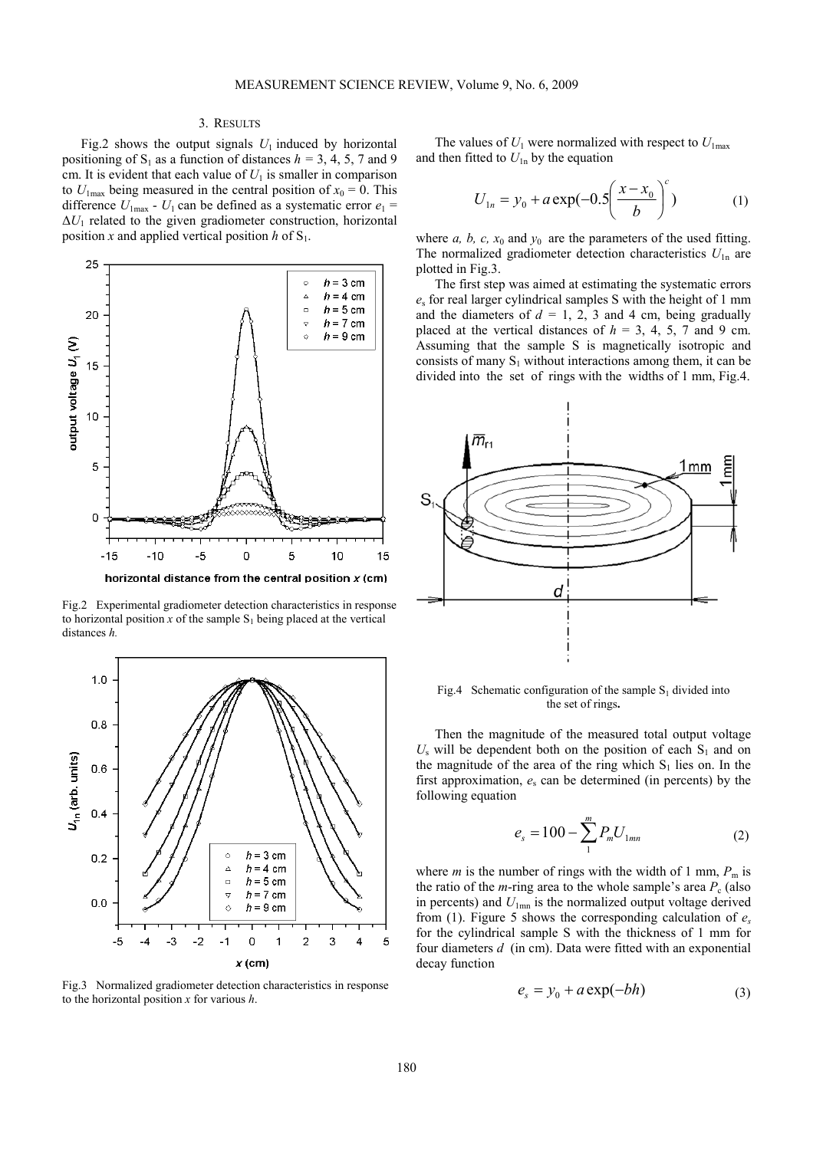# 3. RESULTS

Fig.2 shows the output signals  $U_1$  induced by horizontal positioning of S<sub>1</sub> as a function of distances  $h = 3, 4, 5, 7$  and 9 cm. It is evident that each value of  $U_1$  is smaller in comparison to  $U_{1\text{max}}$  being measured in the central position of  $x_0 = 0$ . This difference  $U_{1\text{max}}$  -  $U_1$  can be defined as a systematic error  $e_1$  =  $\Delta U_1$  related to the given gradiometer construction, horizontal position *x* and applied vertical position *h* of  $S_1$ .



Fig.2 Experimental gradiometer detection characteristics in response to horizontal position  $x$  of the sample  $S_1$  being placed at the vertical distances *h.* 



Fig.3 Normalized gradiometer detection characteristics in response to the horizontal position *x* for various *h*.

The values of  $U_1$  were normalized with respect to  $U_{1\text{max}}$ and then fitted to  $U_{1n}$  by the equation

$$
U_{1n} = y_0 + a \exp(-0.5 \left( \frac{x - x_0}{b} \right)^c)
$$
 (1)

where  $a, b, c, x_0$  and  $y_0$  are the parameters of the used fitting. The normalized gradiometer detection characteristics  $U_{1n}$  are plotted in Fig.3.

The first step was aimed at estimating the systematic errors *e*s for real larger cylindrical samples S with the height of 1 mm and the diameters of  $d = 1, 2, 3$  and 4 cm, being gradually placed at the vertical distances of  $h = 3, 4, 5, 7$  and 9 cm. Assuming that the sample S is magnetically isotropic and consists of many  $S_1$  without interactions among them, it can be divided into the set of rings with the widths of 1 mm, Fig.4.



Fig.4 Schematic configuration of the sample  $S_1$  divided into the set of rings**.** 

Then the magnitude of the measured total output voltage  $U_s$  will be dependent both on the position of each  $S_1$  and on the magnitude of the area of the ring which  $S_1$  lies on. In the first approximation,  $e_s$  can be determined (in percents) by the following equation

$$
e_s = 100 - \sum_{1}^{m} P_m U_{1mn} \tag{2}
$$

where *m* is the number of rings with the width of 1 mm,  $P_m$  is the ratio of the *m*-ring area to the whole sample's area  $P_c$  (also in percents) and  $U_{1mn}$  is the normalized output voltage derived from (1). Figure 5 shows the corresponding calculation of *es* for the cylindrical sample S with the thickness of 1 mm for four diameters *d* (in cm). Data were fitted with an exponential decay function

$$
e_s = y_0 + a \exp(-bh) \tag{3}
$$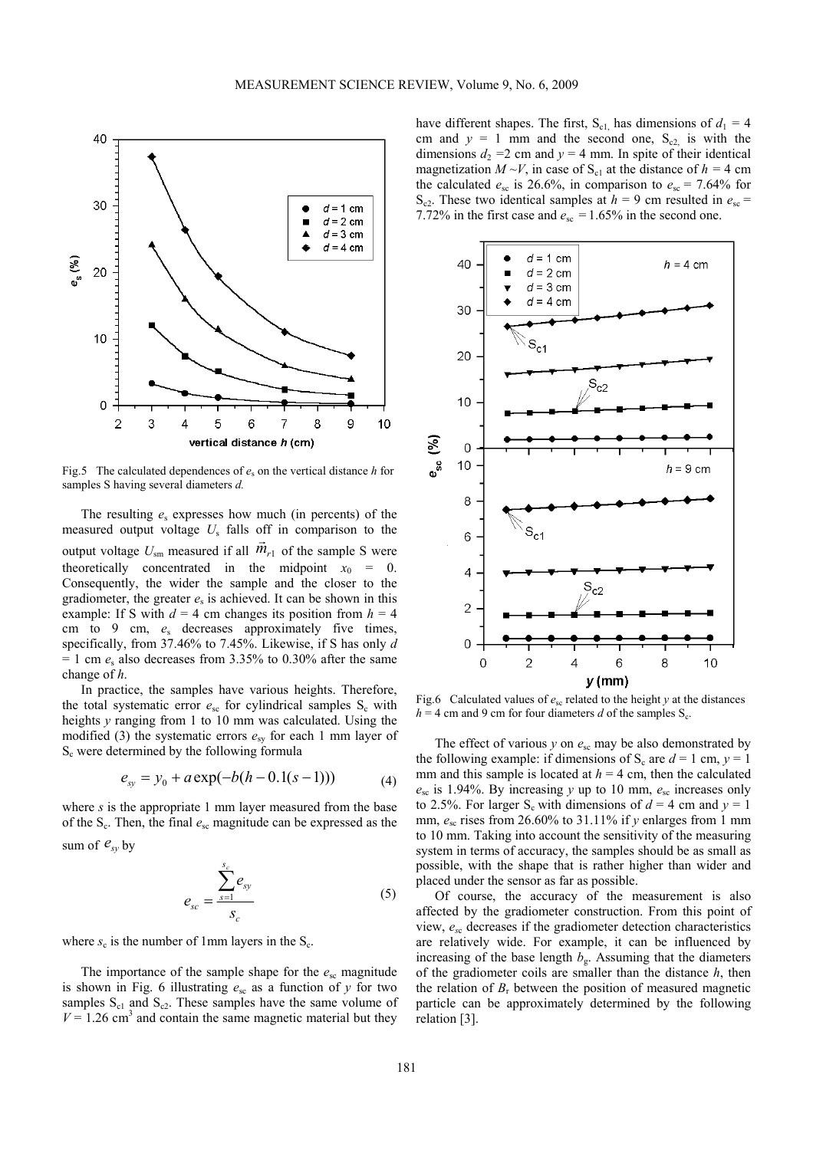

Fig.5 The calculated dependences of  $e_s$  on the vertical distance *h* for samples S having several diameters *d.* 

The resulting *e*s expresses how much (in percents) of the measured output voltage *U*s falls off in comparison to the output voltage  $U_{\text{sm}}$  measured if all  $\vec{m}_{r1}$  of the sample S were theoretically concentrated in the midpoint  $x_0 = 0$ . Consequently, the wider the sample and the closer to the gradiometer, the greater  $e_s$  is achieved. It can be shown in this example: If S with  $d = 4$  cm changes its position from  $h = 4$ cm to 9 cm, *e*s decreases approximately five times, specifically, from 37.46% to 7.45%. Likewise, if S has only *d*   $= 1$  cm  $e_s$  also decreases from 3.35% to 0.30% after the same change of *h*.

In practice, the samples have various heights. Therefore, the total systematic error  $e_{sc}$  for cylindrical samples  $S_c$  with heights *y* ranging from 1 to 10 mm was calculated. Using the modified (3) the systematic errors  $e_{sy}$  for each 1 mm layer of  $S_c$  were determined by the following formula

$$
e_{sy} = y_0 + a \exp(-b(h - 0.1(s - 1))) \tag{4}
$$

where *s* is the appropriate 1 mm layer measured from the base of the  $S_c$ . Then, the final  $e_{sc}$  magnitude can be expressed as the sum of  $e_{sv}$  by

$$
e_{sc} = \frac{\sum_{s=1}^{s_c} e_{sy}}{s_c} \tag{5}
$$

where  $s_c$  is the number of 1mm layers in the  $S_c$ .

The importance of the sample shape for the  $e_{\rm sc}$  magnitude is shown in Fig. 6 illustrating *e*sc as a function of *y* for two samples  $S_{c1}$  and  $S_{c2}$ . These samples have the same volume of  $V = 1.26$  cm<sup>3</sup> and contain the same magnetic material but they have different shapes. The first,  $S_{c1}$  has dimensions of  $d_1 = 4$ cm and  $y = 1$  mm and the second one,  $S_{c2}$  is with the dimensions  $d_2 = 2$  cm and  $y = 4$  mm. In spite of their identical magnetization  $M \sim V$ , in case of S<sub>c1</sub> at the distance of  $h = 4$  cm the calculated  $e_{\rm sc}$  is 26.6%, in comparison to  $e_{\rm sc} = 7.64\%$  for S<sub>c2</sub>. These two identical samples at  $h = 9$  cm resulted in  $e_{\text{sc}} =$ 7.72% in the first case and  $e_{\rm sc} = 1.65\%$  in the second one.



Fig.6 Calculated values of  $e_{\rm sc}$  related to the height *y* at the distances  $h = 4$  cm and 9 cm for four diameters *d* of the samples S<sub>c</sub>.

The effect of various  $y$  on  $e_{sc}$  may be also demonstrated by the following example: if dimensions of S<sub>c</sub> are  $d = 1$  cm,  $v = 1$ mm and this sample is located at  $h = 4$  cm, then the calculated  $e_{\rm sc}$  is 1.94%. By increasing *y* up to 10 mm,  $e_{\rm sc}$  increases only to 2.5%. For larger  $S_c$  with dimensions of  $d = 4$  cm and  $y = 1$ mm,  $e_{\rm sc}$  rises from 26.60% to 31.11% if *y* enlarges from 1 mm to 10 mm. Taking into account the sensitivity of the measuring system in terms of accuracy, the samples should be as small as possible, with the shape that is rather higher than wider and placed under the sensor as far as possible.

Of course, the accuracy of the measurement is also affected by the gradiometer construction. From this point of view, *es*c decreases if the gradiometer detection characteristics are relatively wide. For example, it can be influenced by increasing of the base length  $b_g$ . Assuming that the diameters of the gradiometer coils are smaller than the distance *h*, then the relation of  $B_r$  between the position of measured magnetic particle can be approximately determined by the following relation [3].